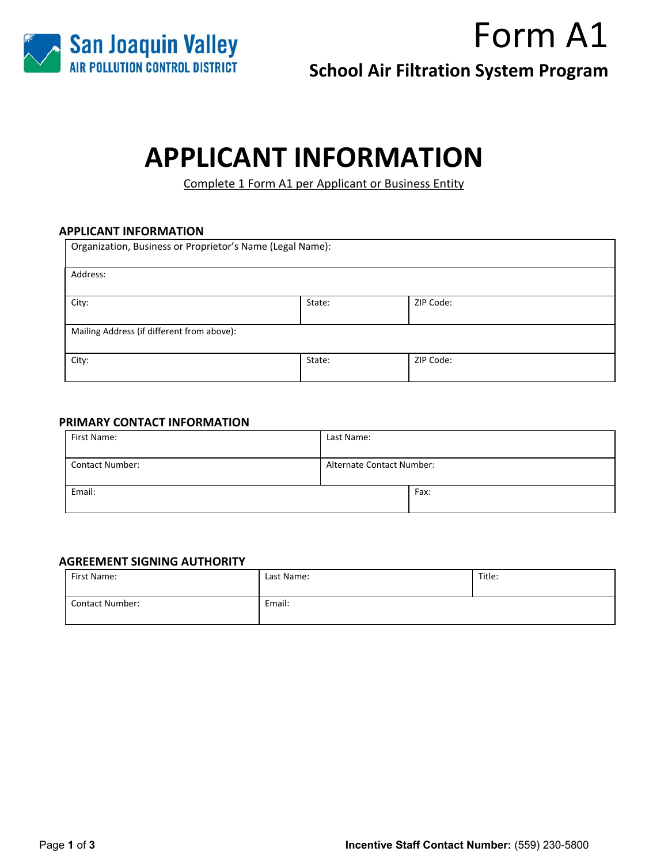

**School Air Filtration System Program** 

# **APPLICANT INFORMATION**

Complete 1 Form A1 per Applicant or Business Entity

### **APPLICANT INFORMATION**

| Organization, Business or Proprietor's Name (Legal Name): |        |           |  |
|-----------------------------------------------------------|--------|-----------|--|
| Address:                                                  |        |           |  |
| City:                                                     | State: | ZIP Code: |  |
| Mailing Address (if different from above):                |        |           |  |
| City:<br>ZIP Code:<br>State:                              |        |           |  |

### **PRIMARY CONTACT INFORMATION**

| First Name:            | Last Name:                       |      |
|------------------------|----------------------------------|------|
| <b>Contact Number:</b> | <b>Alternate Contact Number:</b> |      |
| Email:                 |                                  | Fax: |

#### **AGREEMENT SIGNING AUTHORITY**

| First Name:            | Last Name: | Title: |
|------------------------|------------|--------|
| <b>Contact Number:</b> | Email:     |        |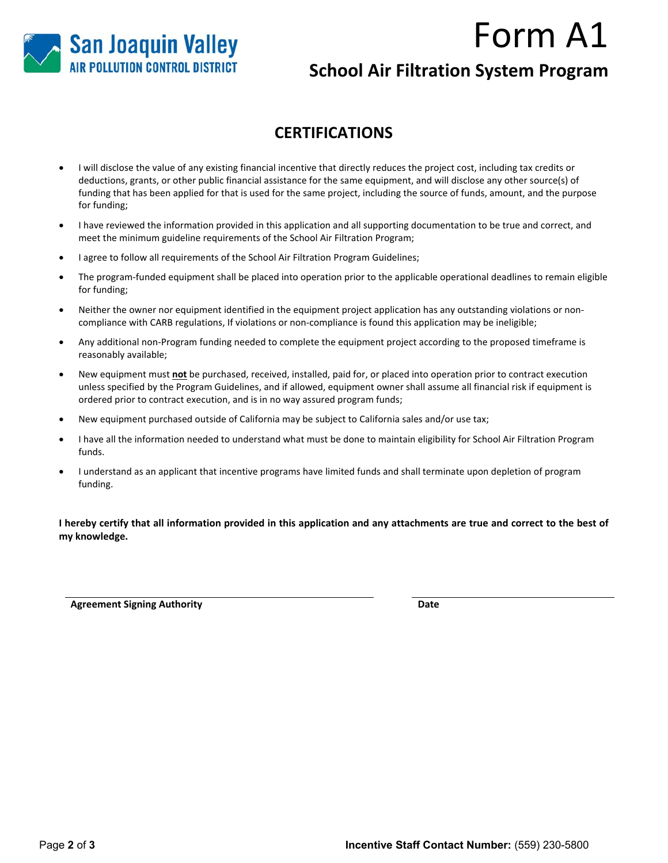

# **School Air Filtration System Program**

## **CERTIFICATIONS**

- I will disclose the value of any existing financial incentive that directly reduces the project cost, including tax credits or deductions, grants, or other public financial assistance for the same equipment, and will disclose any other source(s) of funding that has been applied for that is used for the same project, including the source of funds, amount, and the purpose for funding;
- I have reviewed the information provided in this application and all supporting documentation to be true and correct, and meet the minimum guideline requirements of the School Air Filtration Program;
- I agree to follow all requirements of the School Air Filtration Program Guidelines;
- The program‐funded equipment shall be placed into operation prior to the applicable operational deadlines to remain eligible for funding;
- Neither the owner nor equipment identified in the equipment project application has any outstanding violations or non‐ compliance with CARB regulations, If violations or non‐compliance is found this application may be ineligible;
- Any additional non‐Program funding needed to complete the equipment project according to the proposed timeframe is reasonably available;
- New equipment must **not** be purchased, received, installed, paid for, or placed into operation prior to contract execution unless specified by the Program Guidelines, and if allowed, equipment owner shall assume all financial risk if equipment is ordered prior to contract execution, and is in no way assured program funds;
- New equipment purchased outside of California may be subject to California sales and/or use tax;
- I have all the information needed to understand what must be done to maintain eligibility for School Air Filtration Program funds.
- I understand as an applicant that incentive programs have limited funds and shall terminate upon depletion of program funding.

**I hereby certify that all information provided in this application and any attachments are true and correct to the best of my knowledge.** 

**Agreement Signing Authority Date**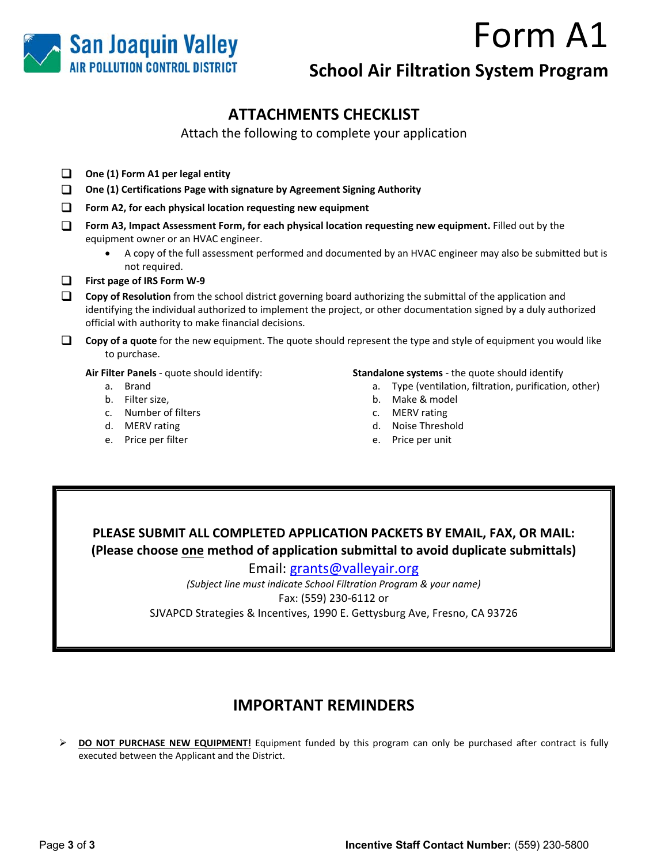

# **School Air Filtration System Program**

# **ATTACHMENTS CHECKLIST**

Attach the following to complete your application

- **One (1) Form A1 per legal entity**
- **One (1) Certifications Page with signature by Agreement Signing Authority**
- **Form A2, for each physical location requesting new equipment**
- **Form A3, Impact Assessment Form, for each physical location requesting new equipment. Filled out by the** equipment owner or an HVAC engineer.
	- A copy of the full assessment performed and documented by an HVAC engineer may also be submitted but is not required.

**First page of IRS Form W‐9** 

- **Copy of Resolution** from the school district governing board authorizing the submittal of the application and identifying the individual authorized to implement the project, or other documentation signed by a duly authorized official with authority to make financial decisions.
- **Copy of a quote** for the new equipment. The quote should represent the type and style of equipment you would like to purchase.

**Air Filter Panels** ‐ quote should identify:

- a. Brand
- b. Filter size,
- c. Number of filters
- d. MERV rating
- e. Price per filter

#### **Standalone systems** ‐ the quote should identify

- a. Type (ventilation, filtration, purification, other)
- b. Make & model
- c. MERV rating
- d. Noise Threshold
- e. Price per unit

## **PLEASE SUBMIT ALL COMPLETED APPLICATION PACKETS BY EMAIL, FAX, OR MAIL: (Please choose one method of application submittal to avoid duplicate submittals)**

Email: grants@valleyair.org

*(Subject line must indicate School Filtration Program & your name)*  Fax: (559) 230‐6112 or SJVAPCD Strategies & Incentives, 1990 E. Gettysburg Ave, Fresno, CA 93726

## **IMPORTANT REMINDERS**

**DO NOT PURCHASE NEW EQUIPMENT!** Equipment funded by this program can only be purchased after contract is fully executed between the Applicant and the District.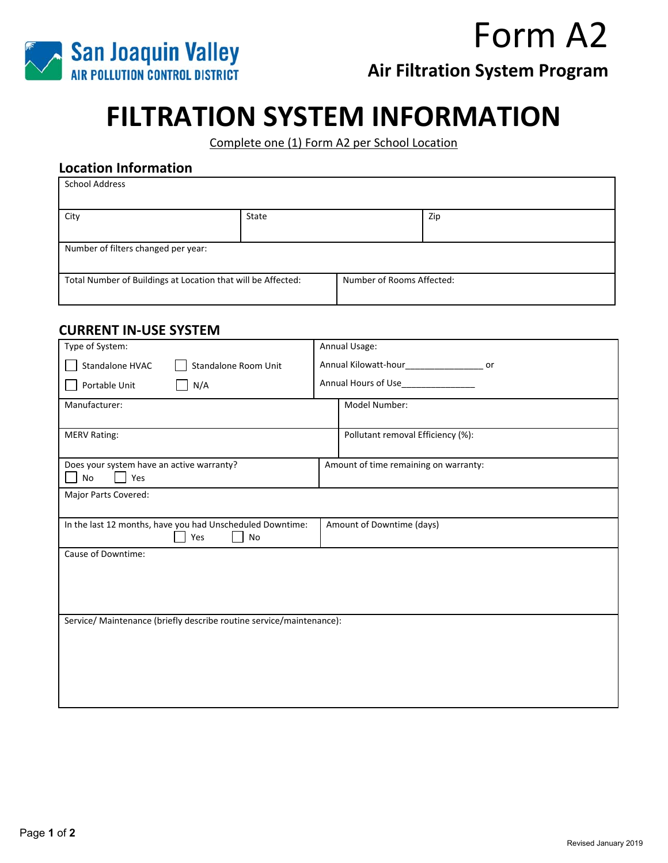

**Air Filtration System Program** 

# **FILTRATION SYSTEM INFORMATION**

Complete one (1) Form A2 per School Location

## **Location Information**

| <b>School Address</b>                                        |       |                           |     |
|--------------------------------------------------------------|-------|---------------------------|-----|
| City                                                         | State |                           | Zip |
| Number of filters changed per year:                          |       |                           |     |
| Total Number of Buildings at Location that will be Affected: |       | Number of Rooms Affected: |     |

### **CURRENT IN‐USE SYSTEM**

| Type of System:                                                                                     | Annual Usage:                         |  |  |
|-----------------------------------------------------------------------------------------------------|---------------------------------------|--|--|
| Standalone HVAC<br>Standalone Room Unit                                                             | or                                    |  |  |
| Portable Unit<br>N/A                                                                                | Annual Hours of Use________________   |  |  |
| Manufacturer:                                                                                       | Model Number:                         |  |  |
| <b>MERV Rating:</b>                                                                                 | Pollutant removal Efficiency (%):     |  |  |
| Does your system have an active warranty?<br>Yes<br>No                                              | Amount of time remaining on warranty: |  |  |
| Major Parts Covered:                                                                                |                                       |  |  |
| In the last 12 months, have you had Unscheduled Downtime:<br>Amount of Downtime (days)<br>Yes<br>No |                                       |  |  |
| Cause of Downtime:                                                                                  |                                       |  |  |
|                                                                                                     |                                       |  |  |
|                                                                                                     |                                       |  |  |
| Service/ Maintenance (briefly describe routine service/maintenance):                                |                                       |  |  |
|                                                                                                     |                                       |  |  |
|                                                                                                     |                                       |  |  |
|                                                                                                     |                                       |  |  |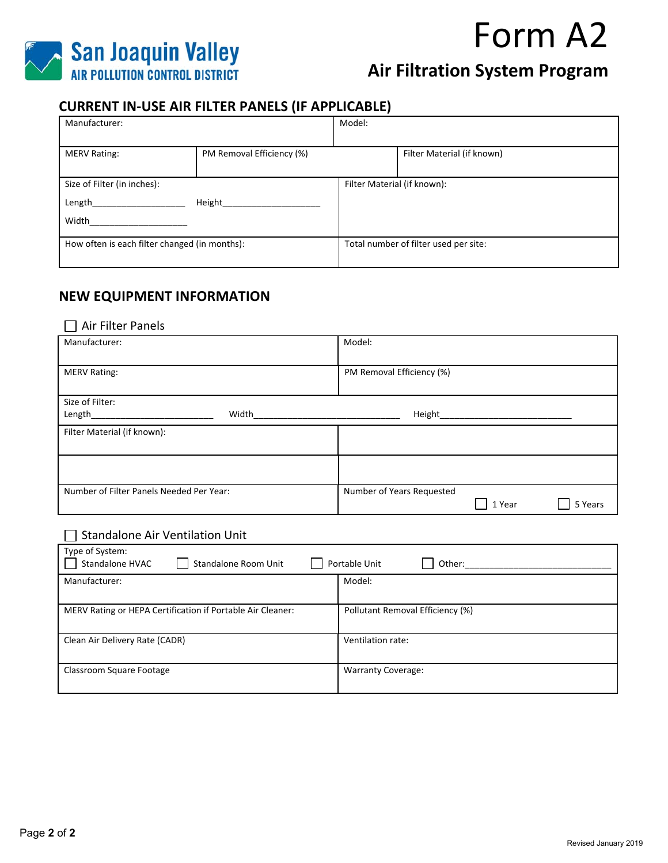

# **Air Filtration System Program**

### **CURRENT IN‐USE AIR FILTER PANELS (IF APPLICABLE)**

| Manufacturer:                                 |                           | Model:                      |                                       |
|-----------------------------------------------|---------------------------|-----------------------------|---------------------------------------|
|                                               |                           |                             |                                       |
| <b>MERV Rating:</b>                           | PM Removal Efficiency (%) |                             | Filter Material (if known)            |
|                                               |                           |                             |                                       |
| Size of Filter (in inches):                   |                           | Filter Material (if known): |                                       |
| Length                                        | Height                    |                             |                                       |
| Width                                         |                           |                             |                                       |
|                                               |                           |                             |                                       |
| How often is each filter changed (in months): |                           |                             | Total number of filter used per site: |
|                                               |                           |                             |                                       |

### **NEW EQUIPMENT INFORMATION**

### □ Air Filter Panels

| Manufacturer:                            | Model:                                         |
|------------------------------------------|------------------------------------------------|
| <b>MERV Rating:</b>                      | PM Removal Efficiency (%)                      |
| Size of Filter:                          |                                                |
| Width<br>Length                          | Height                                         |
| Filter Material (if known):              |                                                |
|                                          |                                                |
| Number of Filter Panels Needed Per Year: | Number of Years Requested<br>1 Year<br>5 Years |

#### □ Standalone Air Ventilation Unit

| Type of System:<br>Standalone HVAC<br>Standalone Room Unit | Portable Unit<br>Other:          |
|------------------------------------------------------------|----------------------------------|
| Manufacturer:                                              | Model:                           |
| MERV Rating or HEPA Certification if Portable Air Cleaner: | Pollutant Removal Efficiency (%) |
| Clean Air Delivery Rate (CADR)                             | Ventilation rate:                |
| Classroom Square Footage                                   | <b>Warranty Coverage:</b>        |